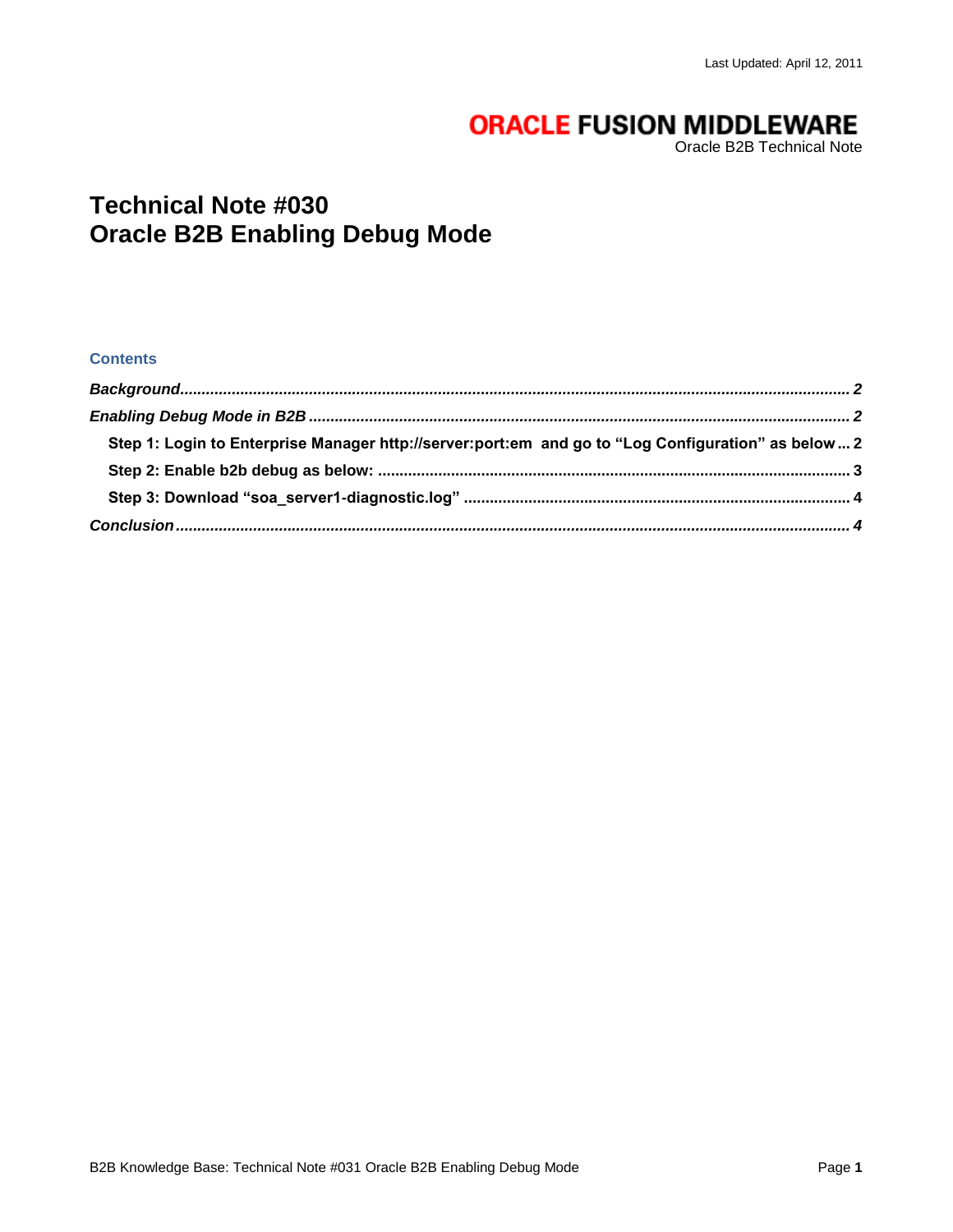# **ORACLE FUSION MIDDLEWARE**

Oracle B2B Technical Note

## **Technical Note #030 Oracle B2B Enabling Debug Mode**

#### **Contents**

| Step 1: Login to Enterprise Manager http://server:port:em and go to "Log Configuration" as below 2 |  |
|----------------------------------------------------------------------------------------------------|--|
|                                                                                                    |  |
|                                                                                                    |  |
|                                                                                                    |  |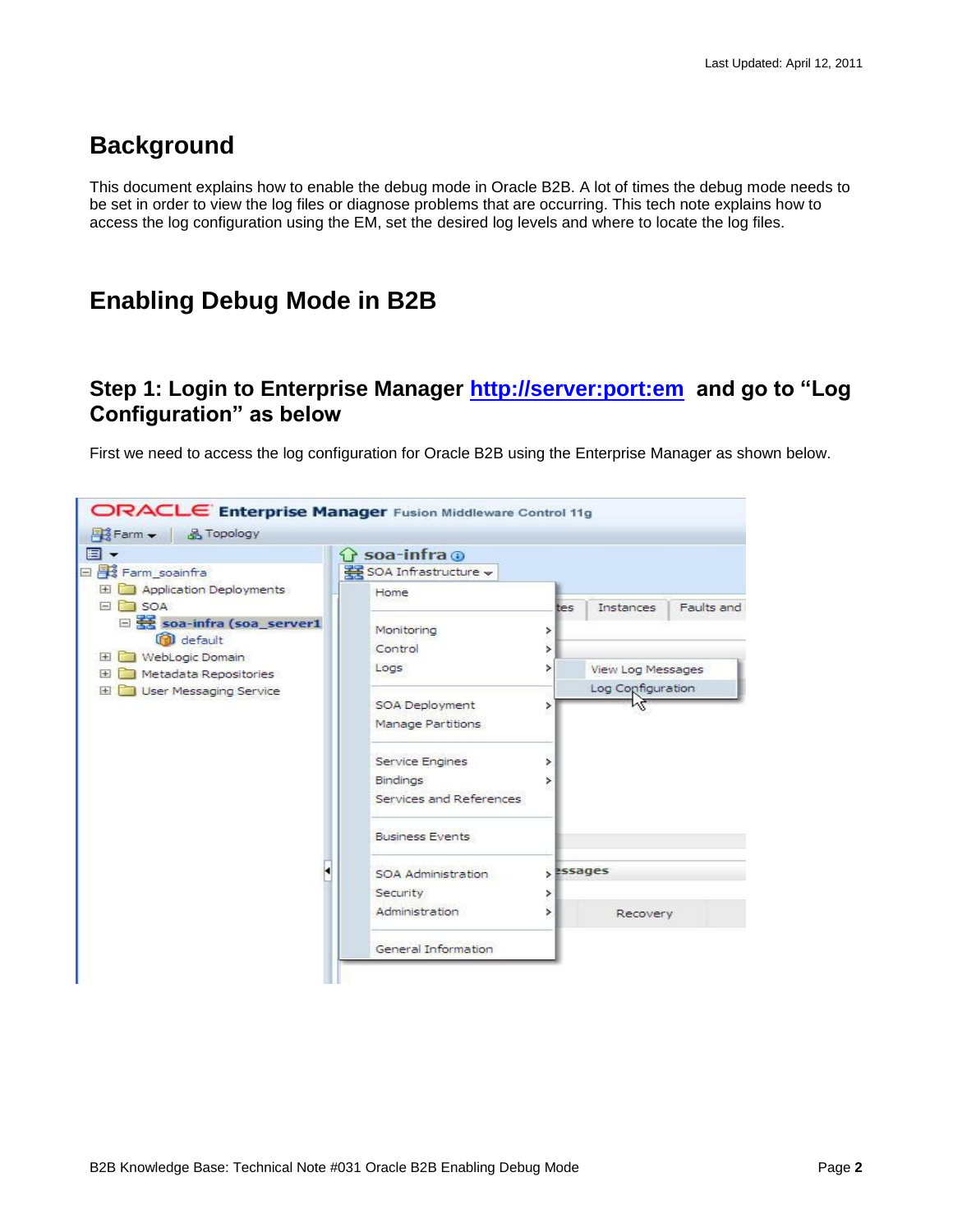## <span id="page-1-0"></span>**Background**

This document explains how to enable the debug mode in Oracle B2B. A lot of times the debug mode needs to be set in order to view the log files or diagnose problems that are occurring. This tech note explains how to access the log configuration using the EM, set the desired log levels and where to locate the log files.

## <span id="page-1-1"></span>**Enabling Debug Mode in B2B**

#### <span id="page-1-2"></span>**Step 1: Login to Enterprise Manager<http://server:port:em>and go to "Log Configuration" as below**

First we need to access the log configuration for Oracle B2B using the Enterprise Manager as shown below.

| ⊟ ≂                                                                          | <b>G</b> soa-infra <b>o</b>                |             |                                        |            |  |  |
|------------------------------------------------------------------------------|--------------------------------------------|-------------|----------------------------------------|------------|--|--|
| Farm_soainfra<br>$=$                                                         | SOA Infrastructure v                       |             |                                        |            |  |  |
| Application Deployments<br>$+$<br>SOA<br>$=$                                 | Home                                       | tes         | Instances                              | Faults and |  |  |
| □<br>soa-infra (soa_server1<br>default<br>WebLogic Domain<br>                | Monitoring<br>Control                      | ×<br>×.     |                                        |            |  |  |
| Metadata Repositories<br>$\left  + \right $<br>User Messaging Service<br>$+$ | Logs                                       | ⋗           | View Log Messages<br>Log Configuration |            |  |  |
|                                                                              | SOA Deployment<br>Manage Partitions        | ⋟           |                                        |            |  |  |
|                                                                              | Service Engines                            | ×           |                                        |            |  |  |
|                                                                              | <b>Bindings</b><br>Services and References | ×           |                                        |            |  |  |
|                                                                              | <b>Business Events</b>                     |             |                                        |            |  |  |
|                                                                              | SOA Administration                         | $>$ assages |                                        |            |  |  |
|                                                                              | Security<br>Administration                 | ⋗<br>×      | Recovery                               |            |  |  |
|                                                                              | General Information                        |             |                                        |            |  |  |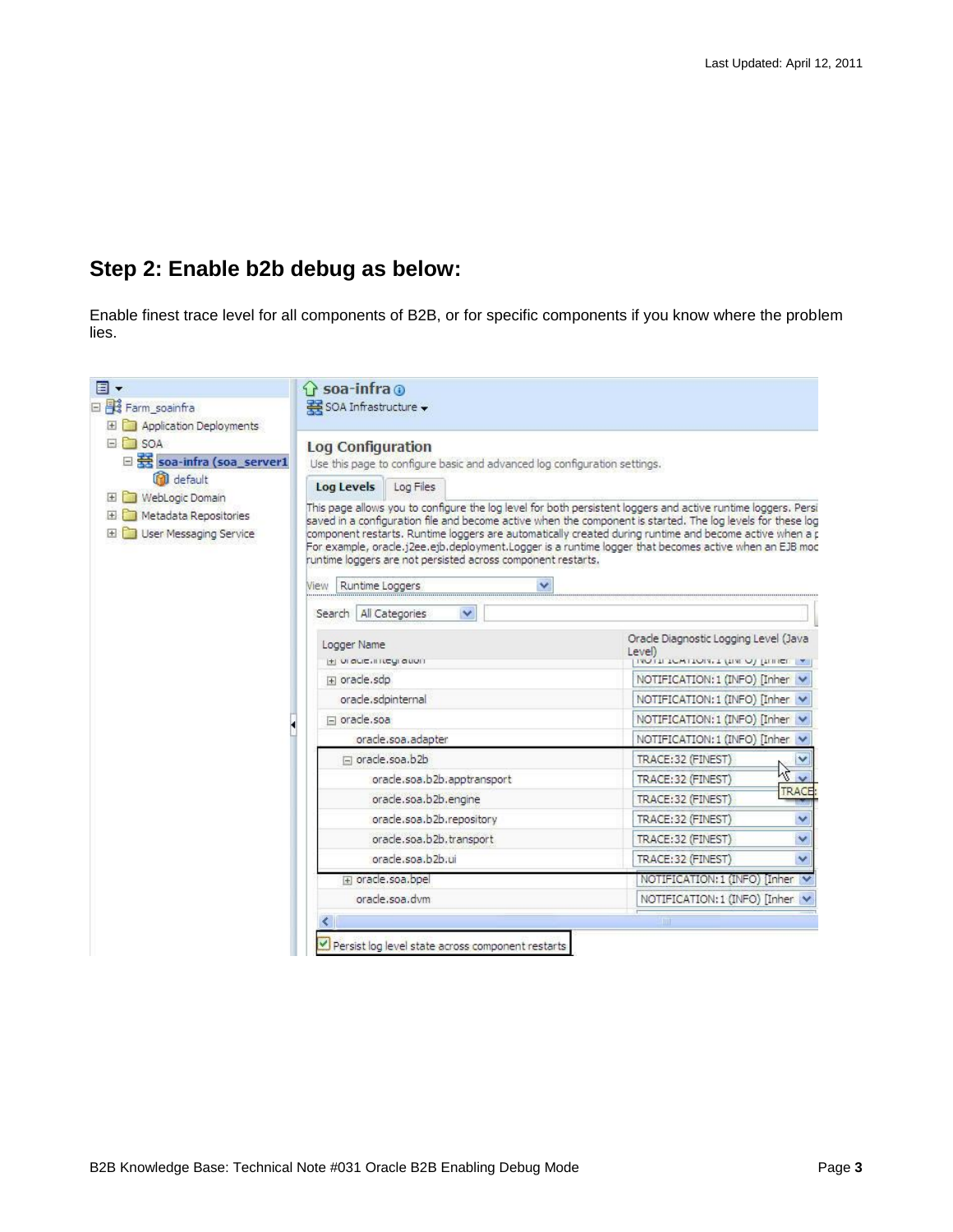# <span id="page-2-0"></span>**Step 2: Enable b2b debug as below:**

Enable finest trace level for all components of B2B, or for specific components if you know where the problem lies.

| 同・<br>日 Be Farm_soainfra                                                                                                                                                                  | <b>Soa-infra o</b><br>SOA Infrastructure v                                                                                                                                                                                                                                                                                                                                   |                                                                                                                                                                                                                                                                                                                                                                                                                                                                                                             |
|-------------------------------------------------------------------------------------------------------------------------------------------------------------------------------------------|------------------------------------------------------------------------------------------------------------------------------------------------------------------------------------------------------------------------------------------------------------------------------------------------------------------------------------------------------------------------------|-------------------------------------------------------------------------------------------------------------------------------------------------------------------------------------------------------------------------------------------------------------------------------------------------------------------------------------------------------------------------------------------------------------------------------------------------------------------------------------------------------------|
| Application Deployments<br>田<br>$\Box$ SOA<br>□ Soa-infra (soa_server1<br>default<br>WebLogic Domain<br>$\left  + \right $<br>Metadata Repositories<br>国<br>$+$<br>User Messaging Service | <b>Log Configuration</b><br>Use this page to configure basic and advanced log configuration settings.<br><b>Log Levels</b><br>Log Files<br>runtime loggers are not persisted across component restarts.<br>$\checkmark$<br>Runtime Loggers<br>View                                                                                                                           | This page allows you to configure the log level for both persistent loggers and active runtime loggers. Persi<br>saved in a configuration file and become active when the component is started. The log levels for these log<br>component restarts. Runtime loggers are automatically created during runtime and become active when a p<br>For example, oracle. (2ee.e)b.deployment. Logger is a runtime logger that becomes active when an EJB moc                                                         |
|                                                                                                                                                                                           | Search   All Categories<br>$\checkmark$                                                                                                                                                                                                                                                                                                                                      |                                                                                                                                                                                                                                                                                                                                                                                                                                                                                                             |
|                                                                                                                                                                                           | Logger Name<br>H UI auch negration<br>Fi oracle.sdp<br>oracle.sdpinternal<br>$\Box$ oracle, soa<br>oracle.soa.adapter<br>□ oracle.soa.b2b<br>oracle.soa.b2b.apptransport<br>oracle.soa.b2b.engine<br>oracle.soa.b2b.repository<br>oracle.soa.b2b.transport<br>oracle.soa.b2b.ui<br>Fi oracle.soa.bpel<br>oracle.soa.dvm<br>Persist log level state across component restarts | Oracle Diagnostic Logging Level (Java<br>Level)<br>INVITI TOMTION I LINE OF LITTLET T<br>NOTIFICATION: 1 (INFO) [Inher v<br>NOTIFICATION: 1 (INFO) [Inher v<br>NOTIFICATION: 1 (INFO) [Inher v<br>NOTIFICATION: 1 (INFO) [Inher \<br>TRACE: 32 (FINEST)<br>v<br>バー<br>TRACE: 32 (FINEST)<br>TRACE<br>TRACE: 32 (FINEST)<br>TRACE: 32 (FINEST)<br>٧<br>TRACE: 32 (FINEST)<br>v<br>TRACE: 32 (FINEST)<br>$\checkmark$<br>NOTIFICATION: 1 (INFO) [Inher]<br>NOTIFICATION: 1 (INFO) [Inher v<br>$^{\circ}$ 1111 |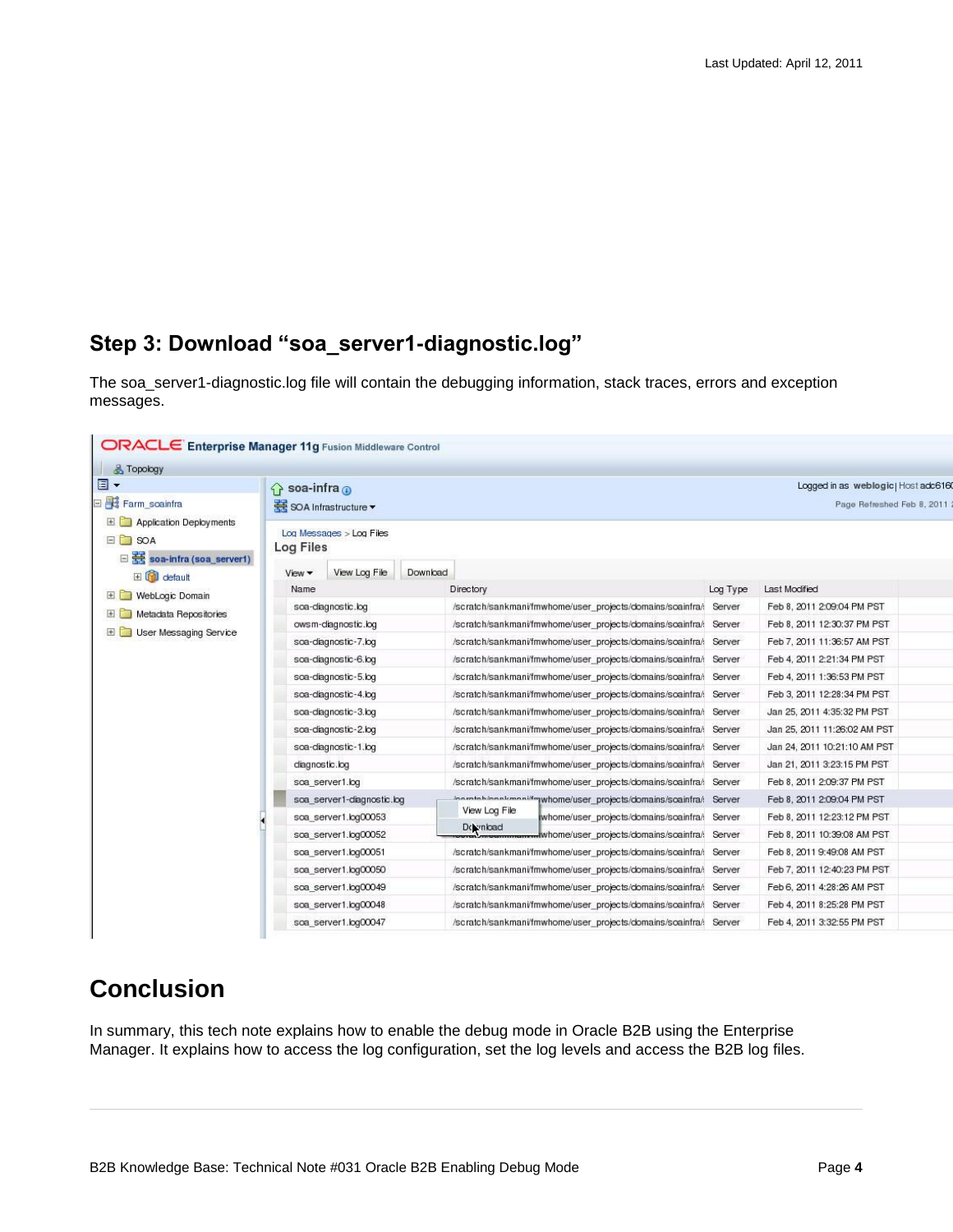#### <span id="page-3-0"></span>**Step 3: Download "soa\_server1-diagnostic.log"**

The soa\_server1-diagnostic.log file will contain the debugging information, stack traces, errors and exception messages.

| <b>&amp; Topology</b>                                                   |                               |                            |          |                                                                   |                                                                   |                            |                              |  |
|-------------------------------------------------------------------------|-------------------------------|----------------------------|----------|-------------------------------------------------------------------|-------------------------------------------------------------------|----------------------------|------------------------------|--|
| $\Box$                                                                  | $\bigcap$ soa-infra $\bigcap$ |                            |          | Logged in as weblogic) Host adc616                                |                                                                   |                            |                              |  |
| Farm soainfra                                                           |                               | SOA Infrastructure ▼       |          |                                                                   |                                                                   |                            | Page Refreshed Feb 8, 2011   |  |
| Application Deployments<br>$\Box$ SOA<br>$\Box$ Soa-infra (soa_server1) | <b>Log Files</b>              | Log Messages > Log Files   |          |                                                                   |                                                                   |                            |                              |  |
| El Col default                                                          | View -                        | View Log File              | Download |                                                                   |                                                                   |                            |                              |  |
| WebLogic Domain                                                         | Name                          |                            |          | Directory                                                         |                                                                   | Log Type                   | Last Modified                |  |
| $+1$                                                                    |                               | soa-diagnostic.log         |          |                                                                   | /scratch/sankmani/fmwhome/user_projects/domains/soainfra/: Server |                            | Feb 8, 2011 2:09:04 PM PST   |  |
| <b>ED</b> Metadata Repositories<br>User Messaging Service<br>$\pm$      |                               | owsm-diagnostic.log        |          |                                                                   | /scratch/sankmani/fmwhome/user_projects/domains/scainfra/: Server |                            | Feb 8, 2011 12:30:37 PM PST  |  |
|                                                                         |                               | soa-diagnostic-7.log       |          |                                                                   | /scratch/sankmani/fmwhome/user_projects/domains/soainfra/: Server |                            | Feb 7, 2011 11:36:57 AM PST  |  |
|                                                                         |                               | soa-diagnostic-6.log       |          |                                                                   | /scratch/sankmani/fmwhome/user_projects/domains/scainfra/         | Server                     | Feb 4, 2011 2:21:34 PM PST   |  |
|                                                                         | soa-diagnostic-5.log          |                            |          | /scratch/sankmani/fmwhome/user_projects/domains/soainfra/: Server |                                                                   | Feb 4, 2011 1:36:53 PM PST |                              |  |
|                                                                         |                               | soa-diagnostic-4.log       |          |                                                                   | /scratch/sankmani/fmwhome/user_projects/domains/soainfra/: Server |                            | Feb 3, 2011 12:28:34 PM PST  |  |
|                                                                         |                               | soa-diagnostic-3.log       |          |                                                                   | /scratch/sankmani/fmwhome/user_projects/domains/soainfra/( Server |                            | Jan 25, 2011 4:35:32 PM PST  |  |
|                                                                         |                               | soa-diagnostic-2.log       |          |                                                                   | /scratch/sankmani/fmwhome/user_projects/domains/soainfra/: Server |                            | Jan 25, 2011 11:26:02 AM PST |  |
|                                                                         |                               | soa-diagnostic-1.log       |          |                                                                   | /scratch/sankmani/fmwhome/user_projects/domains/soainfra/: Server |                            | Jan 24, 2011 10:21:10 AM PST |  |
|                                                                         |                               | diagnostic.log             |          |                                                                   | /scratch/sankmani/fmwhome/user_projects/domains/soainfra/: Server |                            | Jan 21, 2011 3:23:15 PM PST  |  |
|                                                                         |                               | soa server1.log            |          |                                                                   | /scratch/sankmani/fmwhome/user_projects/domains/soainfra/: Server |                            | Feb 8, 2011 2:09:37 PM PST   |  |
|                                                                         |                               | soa_server1-diagnostic.log |          |                                                                   | comtohionnkmeni#mwhome/user_projects/domains/scainfra/: Server    |                            | Feb 8, 2011 2:09:04 PM PST   |  |
|                                                                         |                               | soa_server1.log00053       |          | View Log File                                                     | whome/user projects/domains/soainfra/: Server                     |                            | Feb 8, 2011 12:23:12 PM PST  |  |
|                                                                         |                               | soa server1.log00052       |          | Download                                                          | whome/user projects/domains/scainfra/: Server                     |                            | Feb 8, 2011 10:39:08 AM PST  |  |
|                                                                         |                               | soa server1.log00051       |          |                                                                   | /scratch/sankmani/fmwhome/user_projects/domains/soainfra/ Server  |                            | Feb 8, 2011 9:49:08 AM PST   |  |
|                                                                         |                               | soa server1.log00050       |          |                                                                   | /scratch/sankmani/fmwhome/user_projects/domains/soainfra/: Server |                            | Feb 7, 2011 12:40:23 PM PST  |  |
|                                                                         |                               | soa server1.log00049       |          |                                                                   | /scratch/sankmani/fmwhome/user_projects/domains/soainfra/: Server |                            | Feb 6, 2011 4:28:26 AM PST   |  |
|                                                                         |                               | soa server1.log00048       |          |                                                                   | /scratch/sankmani/fmwhome/user_projects/domains/soainfra/: Server |                            | Feb 4, 2011 8:25:28 PM PST   |  |
|                                                                         |                               | soa server1.log00047       |          |                                                                   | /scratch/sankmani/fmwhome/user_projects/domains/soainfra/: Server |                            | Feb 4, 2011 3:32:55 PM PST   |  |

## <span id="page-3-1"></span>**Conclusion**

In summary, this tech note explains how to enable the debug mode in Oracle B2B using the Enterprise Manager. It explains how to access the log configuration, set the log levels and access the B2B log files.